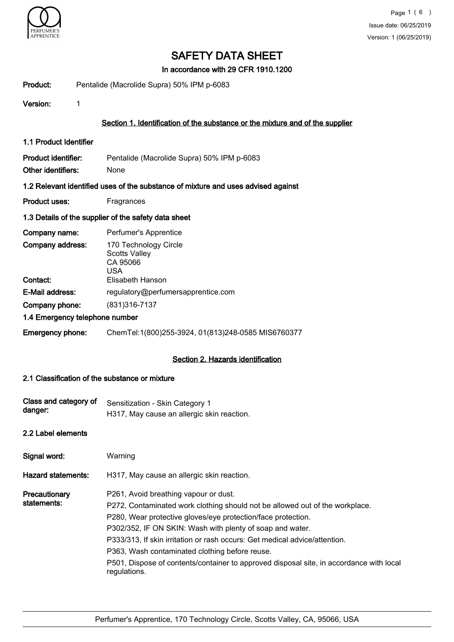

In accordance with 29 CFR 1910.1200

Product: Pentalide (Macrolide Supra) 50% IPM p-6083

Version: 1

#### Section 1. Identification of the substance or the mixture and of the supplier

1.1 Product Identifier

| Product identifier: | Pentalide (Macrolide Supra) 50% IPM p-6083 |
|---------------------|--------------------------------------------|
| Other identifiers:  | <b>None</b>                                |

#### 1.2 Relevant identified uses of the substance of mixture and uses advised against

Product uses: Fragrances

#### 1.3 Details of the supplier of the safety data sheet

| Company name:                  | Perfumer's Apprentice                                            |
|--------------------------------|------------------------------------------------------------------|
| Company address:               | 170 Technology Circle<br><b>Scotts Valley</b><br>CA 95066<br>USA |
| Contact:                       | Elisabeth Hanson                                                 |
| E-Mail address:                | regulatory@perfumersapprentice.com                               |
| Company phone:                 | (831) 316-7137                                                   |
| 1.4 Emergency telephone number |                                                                  |
| <b>Emergency phone:</b>        | ChemTel:1(800)255-3924, 01(813)248-0585 MIS6760377               |

#### Section 2. Hazards identification

#### 2.1 Classification of the substance or mixture

| Class and category of<br>danger: | Sensitization - Skin Category 1<br>H317, May cause an allergic skin reaction.                                                                                                                                                                                                                                                                                                                                                                                                                 |
|----------------------------------|-----------------------------------------------------------------------------------------------------------------------------------------------------------------------------------------------------------------------------------------------------------------------------------------------------------------------------------------------------------------------------------------------------------------------------------------------------------------------------------------------|
| 2.2 Label elements               |                                                                                                                                                                                                                                                                                                                                                                                                                                                                                               |
| Signal word:                     | Warning                                                                                                                                                                                                                                                                                                                                                                                                                                                                                       |
| Hazard statements:               | H317, May cause an allergic skin reaction.                                                                                                                                                                                                                                                                                                                                                                                                                                                    |
| Precautionary<br>statements:     | P261, Avoid breathing vapour or dust.<br>P272, Contaminated work clothing should not be allowed out of the workplace.<br>P280, Wear protective gloves/eye protection/face protection.<br>P302/352, IF ON SKIN: Wash with plenty of soap and water.<br>P333/313, If skin irritation or rash occurs: Get medical advice/attention.<br>P363, Wash contaminated clothing before reuse.<br>P501, Dispose of contents/container to approved disposal site, in accordance with local<br>regulations. |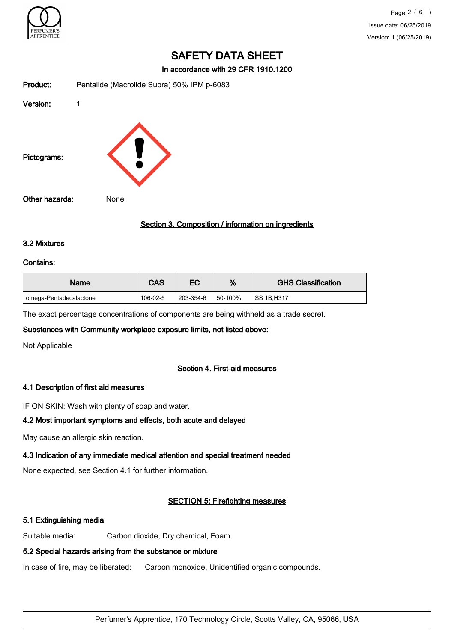

In accordance with 29 CFR 1910.1200

| Product:       | Pentalide (Macrolide Supra) 50% IPM p-6083 |
|----------------|--------------------------------------------|
| Version:       | 1                                          |
| Pictograms:    |                                            |
| Other hazards: | None                                       |

#### Section 3. Composition / information on ingredients

#### 3.2 Mixtures

#### Contains:

| Name                   | CAS      | ЕC        | %       | <b>GHS Classification</b> |
|------------------------|----------|-----------|---------|---------------------------|
| omega-Pentadecalactone | 106-02-5 | 203-354-6 | 50-100% | SS 1B:H317                |

The exact percentage concentrations of components are being withheld as a trade secret.

#### Substances with Community workplace exposure limits, not listed above:

Not Applicable

#### Section 4. First-aid measures

#### 4.1 Description of first aid measures

IF ON SKIN: Wash with plenty of soap and water.

#### 4.2 Most important symptoms and effects, both acute and delayed

May cause an allergic skin reaction.

### 4.3 Indication of any immediate medical attention and special treatment needed

None expected, see Section 4.1 for further information.

## SECTION 5: Firefighting measures

### 5.1 Extinguishing media

Suitable media: Carbon dioxide, Dry chemical, Foam.

### 5.2 Special hazards arising from the substance or mixture

In case of fire, may be liberated: Carbon monoxide, Unidentified organic compounds.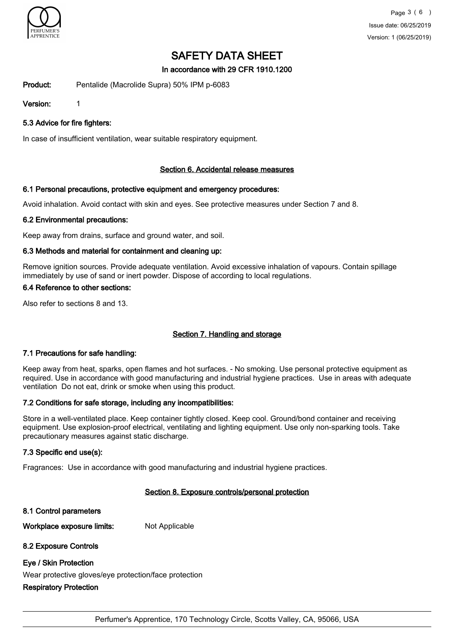

### In accordance with 29 CFR 1910.1200

Product: Pentalide (Macrolide Supra) 50% IPM p-6083

Version: 1

5.3 Advice for fire fighters:

In case of insufficient ventilation, wear suitable respiratory equipment.

#### Section 6. Accidental release measures

#### 6.1 Personal precautions, protective equipment and emergency procedures:

Avoid inhalation. Avoid contact with skin and eyes. See protective measures under Section 7 and 8.

#### 6.2 Environmental precautions:

Keep away from drains, surface and ground water, and soil.

#### 6.3 Methods and material for containment and cleaning up:

Remove ignition sources. Provide adequate ventilation. Avoid excessive inhalation of vapours. Contain spillage immediately by use of sand or inert powder. Dispose of according to local regulations.

#### 6.4 Reference to other sections:

Also refer to sections 8 and 13.

#### Section 7. Handling and storage

#### 7.1 Precautions for safe handling:

Keep away from heat, sparks, open flames and hot surfaces. - No smoking. Use personal protective equipment as required. Use in accordance with good manufacturing and industrial hygiene practices. Use in areas with adequate ventilation Do not eat, drink or smoke when using this product.

#### 7.2 Conditions for safe storage, including any incompatibilities:

Store in a well-ventilated place. Keep container tightly closed. Keep cool. Ground/bond container and receiving equipment. Use explosion-proof electrical, ventilating and lighting equipment. Use only non-sparking tools. Take precautionary measures against static discharge.

#### 7.3 Specific end use(s):

Fragrances: Use in accordance with good manufacturing and industrial hygiene practices.

#### Section 8. Exposure controls/personal protection

8.1 Control parameters

Workplace exposure limits: Not Applicable

#### 8.2 Exposure Controls

#### Eye / Skin Protection

Wear protective gloves/eye protection/face protection

#### Respiratory Protection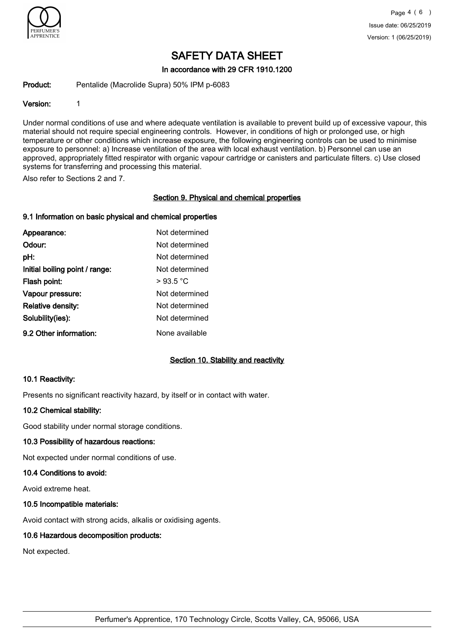

In accordance with 29 CFR 1910.1200

Product: Pentalide (Macrolide Supra) 50% IPM p-6083

#### Version: 1

Under normal conditions of use and where adequate ventilation is available to prevent build up of excessive vapour, this material should not require special engineering controls. However, in conditions of high or prolonged use, or high temperature or other conditions which increase exposure, the following engineering controls can be used to minimise exposure to personnel: a) Increase ventilation of the area with local exhaust ventilation. b) Personnel can use an approved, appropriately fitted respirator with organic vapour cartridge or canisters and particulate filters. c) Use closed systems for transferring and processing this material.

Also refer to Sections 2 and 7.

#### Section 9. Physical and chemical properties

#### 9.1 Information on basic physical and chemical properties

| Appearance:                    | Not determined |
|--------------------------------|----------------|
| Odour:                         | Not determined |
| pH:                            | Not determined |
| Initial boiling point / range: | Not determined |
| Flash point:                   | >93.5 °C       |
| Vapour pressure:               | Not determined |
| <b>Relative density:</b>       | Not determined |
| Solubility(ies):               | Not determined |
| 9.2 Other information:         | None available |

#### Section 10. Stability and reactivity

#### 10.1 Reactivity:

Presents no significant reactivity hazard, by itself or in contact with water.

#### 10.2 Chemical stability:

Good stability under normal storage conditions.

#### 10.3 Possibility of hazardous reactions:

Not expected under normal conditions of use.

#### 10.4 Conditions to avoid:

Avoid extreme heat.

#### 10.5 Incompatible materials:

Avoid contact with strong acids, alkalis or oxidising agents.

#### 10.6 Hazardous decomposition products:

Not expected.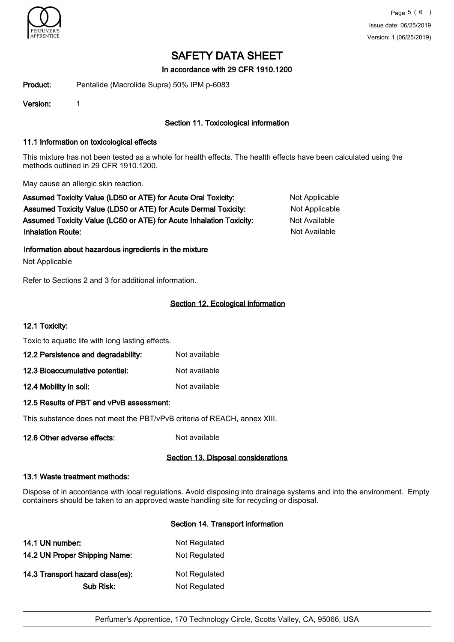

In accordance with 29 CFR 1910.1200

Product: Pentalide (Macrolide Supra) 50% IPM p-6083

Version: 1

### Section 11. Toxicological information

#### 11.1 Information on toxicological effects

This mixture has not been tested as a whole for health effects. The health effects have been calculated using the methods outlined in 29 CFR 1910.1200.

May cause an allergic skin reaction.

Assumed Toxicity Value (LD50 or ATE) for Acute Oral Toxicity: Not Applicable Assumed Toxicity Value (LD50 or ATE) for Acute Dermal Toxicity: Not Applicable Assumed Toxicity Value (LC50 or ATE) for Acute Inhalation Toxicity: Not Available **Inhalation Route:** Not Available in the United States of Available in the United States of Available in the United States of Available in the United States of Available in the United States of Available in the United Stat

Information about hazardous ingredients in the mixture

Not Applicable

Refer to Sections 2 and 3 for additional information.

#### Section 12. Ecological information

#### 12.1 Toxicity:

Toxic to aquatic life with long lasting effects.

| 12.2 Persistence and degradability: | Not available |
|-------------------------------------|---------------|
| 12.3 Bioaccumulative potential:     | Not available |

12.4 Mobility in soil: Not available

#### 12.5 Results of PBT and vPvB assessment:

This substance does not meet the PBT/vPvB criteria of REACH, annex XIII.

12.6 Other adverse effects: Not available

#### Section 13. Disposal considerations

#### 13.1 Waste treatment methods:

Dispose of in accordance with local regulations. Avoid disposing into drainage systems and into the environment. Empty containers should be taken to an approved waste handling site for recycling or disposal.

#### Section 14. Transport information

| 14.1 UN number:                  | Not Regulated |
|----------------------------------|---------------|
| 14.2 UN Proper Shipping Name:    | Not Regulated |
| 14.3 Transport hazard class(es): | Not Regulated |
| Sub Risk:                        | Not Regulated |